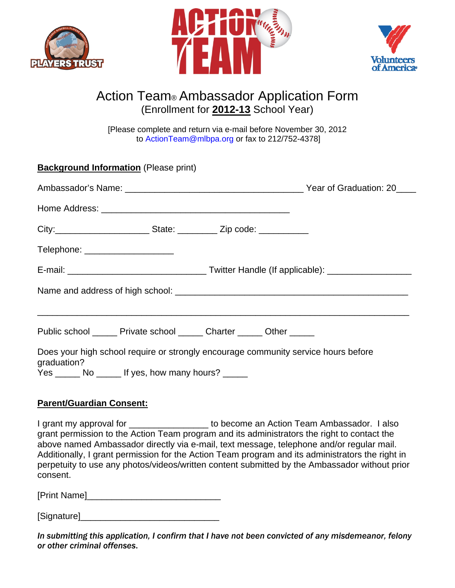





## Action Team® Ambassador Application Form (Enrollment for **2012-13** School Year)

[Please complete and return via e-mail before November 30, 2012 to ActionTeam@mlbpa.org or fax to 212/752-4378]

| <b>Background Information</b> (Please print)                                                      |  |
|---------------------------------------------------------------------------------------------------|--|
|                                                                                                   |  |
|                                                                                                   |  |
|                                                                                                   |  |
| Telephone: _____________________                                                                  |  |
|                                                                                                   |  |
|                                                                                                   |  |
| Public school _______ Private school _______ Charter _______ Other ______                         |  |
| Does your high school require or strongly encourage community service hours before<br>graduation? |  |
| Yes ________ No _______ If yes, how many hours? ______                                            |  |

## **Parent/Guardian Consent:**

I grant my approval for \_\_\_\_\_\_\_\_\_\_\_\_\_\_\_\_ to become an Action Team Ambassador. I also grant permission to the Action Team program and its administrators the right to contact the above named Ambassador directly via e-mail, text message, telephone and/or regular mail. Additionally, I grant permission for the Action Team program and its administrators the right in perpetuity to use any photos/videos/written content submitted by the Ambassador without prior consent.

[Print Name]\_\_\_\_\_\_\_\_\_\_\_\_\_\_\_\_\_\_\_\_\_\_\_\_\_\_\_

[Signature]\_\_\_\_\_\_\_\_\_\_\_\_\_\_\_\_\_\_\_\_\_\_\_\_\_\_\_\_

*In submitting this application, I confirm that I have not been convicted of any misdemeanor, felony or other criminal offenses*.